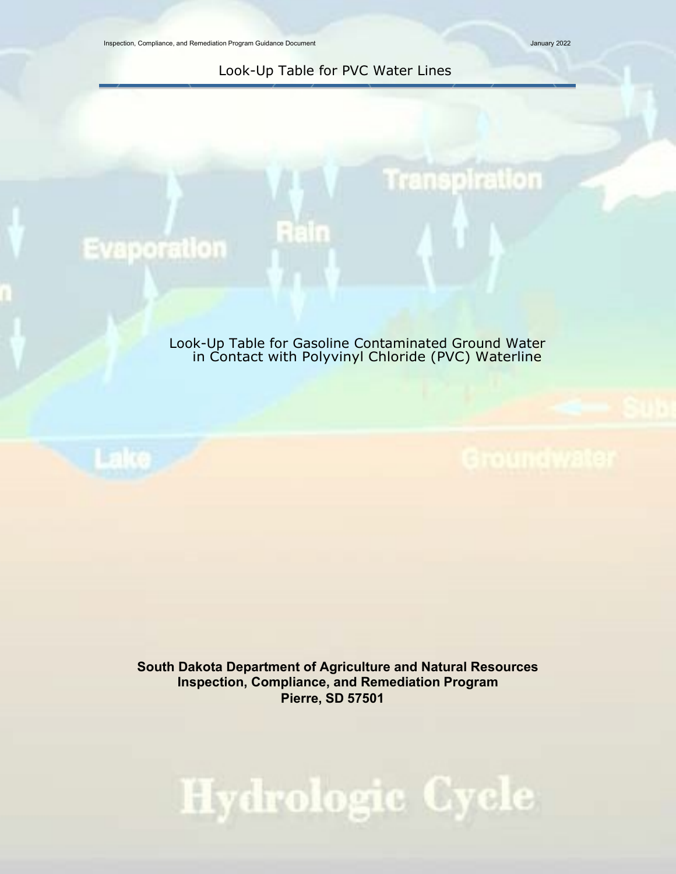Inspection, Compliance, and Remediation Program Guidance Document January 2022

**Transpiration** 

Look-Up Table for PVC Water Lines

Rain

## **Evaporation**

Look-Up Table for Gasoline Contaminated Ground Water in Contact with Polyvinyl Chloride (PVC) Waterline



**South Dakota Department of Agriculture and Natural Resources Inspection, Compliance, and Remediation Program Pierre, SD 57501**

## Hydrologic Cycle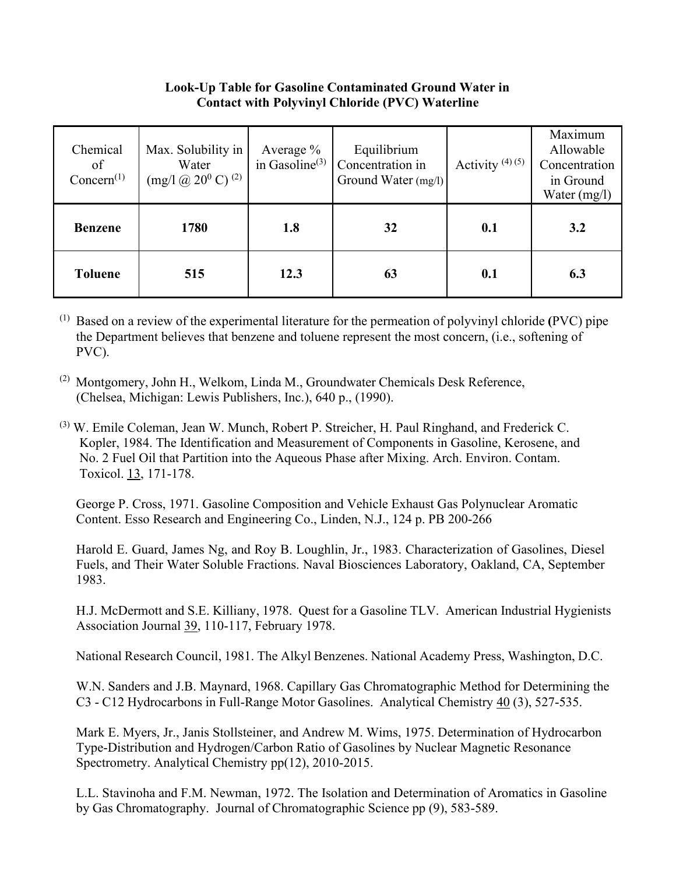## **Look-Up Table for Gasoline Contaminated Ground Water in Contact with Polyvinyl Chloride (PVC) Waterline**

| Chemical<br>of<br>Concern <sup>(1)</sup> | Max. Solubility in<br>Water<br>$\left(\text{mg}/\text{l} \times (20^0 \text{ C})\right)$ <sup>(2)</sup> | Average $\%$<br>in Gasoline <sup>(3)</sup> | Equilibrium<br>Concentration in<br>Ground Water (mg/l) | Activity $(4)(5)$ | Maximum<br>Allowable<br>Concentration<br>in Ground<br>Water $(mg/l)$ |
|------------------------------------------|---------------------------------------------------------------------------------------------------------|--------------------------------------------|--------------------------------------------------------|-------------------|----------------------------------------------------------------------|
| <b>Benzene</b>                           | 1780                                                                                                    | 1.8                                        | 32                                                     | 0.1               | 3.2                                                                  |
| <b>Toluene</b>                           | 515                                                                                                     | 12.3                                       | 63                                                     | 0.1               | 6.3                                                                  |

(1) Based on a review of the experimental literature for the permeation of polyvinyl chloride **(**PVC) pipe the Department believes that benzene and toluene represent the most concern, (i.e., softening of PVC).

- (2) Montgomery, John H., Welkom, Linda M., Groundwater Chemicals Desk Reference, (Chelsea, Michigan: Lewis Publishers, Inc.), 640 p., (1990).
- (3) W. Emile Coleman, Jean W. Munch, Robert P. Streicher, H. Paul Ringhand, and Frederick C. Kopler, 1984. The Identification and Measurement of Components in Gasoline, Kerosene, and No. 2 Fuel Oil that Partition into the Aqueous Phase after Mixing. Arch. Environ. Contam. Toxicol. 13, 171-178.

George P. Cross, 1971. Gasoline Composition and Vehicle Exhaust Gas Polynuclear Aromatic Content. Esso Research and Engineering Co., Linden, N.J., 124 p. PB 200-266

Harold E. Guard, James Ng, and Roy B. Loughlin, Jr., 1983. Characterization of Gasolines, Diesel Fuels, and Their Water Soluble Fractions. Naval Biosciences Laboratory, Oakland, CA, September 1983.

H.J. McDermott and S.E. Killiany, 1978. Quest for a Gasoline TLV. American Industrial Hygienists Association Journal 39, 110-117, February 1978.

National Research Council, 1981. The Alkyl Benzenes. National Academy Press, Washington, D.C.

W.N. Sanders and J.B. Maynard, 1968. Capillary Gas Chromatographic Method for Determining the C3 - C12 Hydrocarbons in Full-Range Motor Gasolines. Analytical Chemistry 40 (3), 527-535.

Mark E. Myers, Jr., Janis Stollsteiner, and Andrew M. Wims, 1975. Determination of Hydrocarbon Type-Distribution and Hydrogen/Carbon Ratio of Gasolines by Nuclear Magnetic Resonance Spectrometry. Analytical Chemistry pp(12), 2010-2015.

L.L. Stavinoha and F.M. Newman, 1972. The Isolation and Determination of Aromatics in Gasoline by Gas Chromatography. Journal of Chromatographic Science pp (9), 583-589.